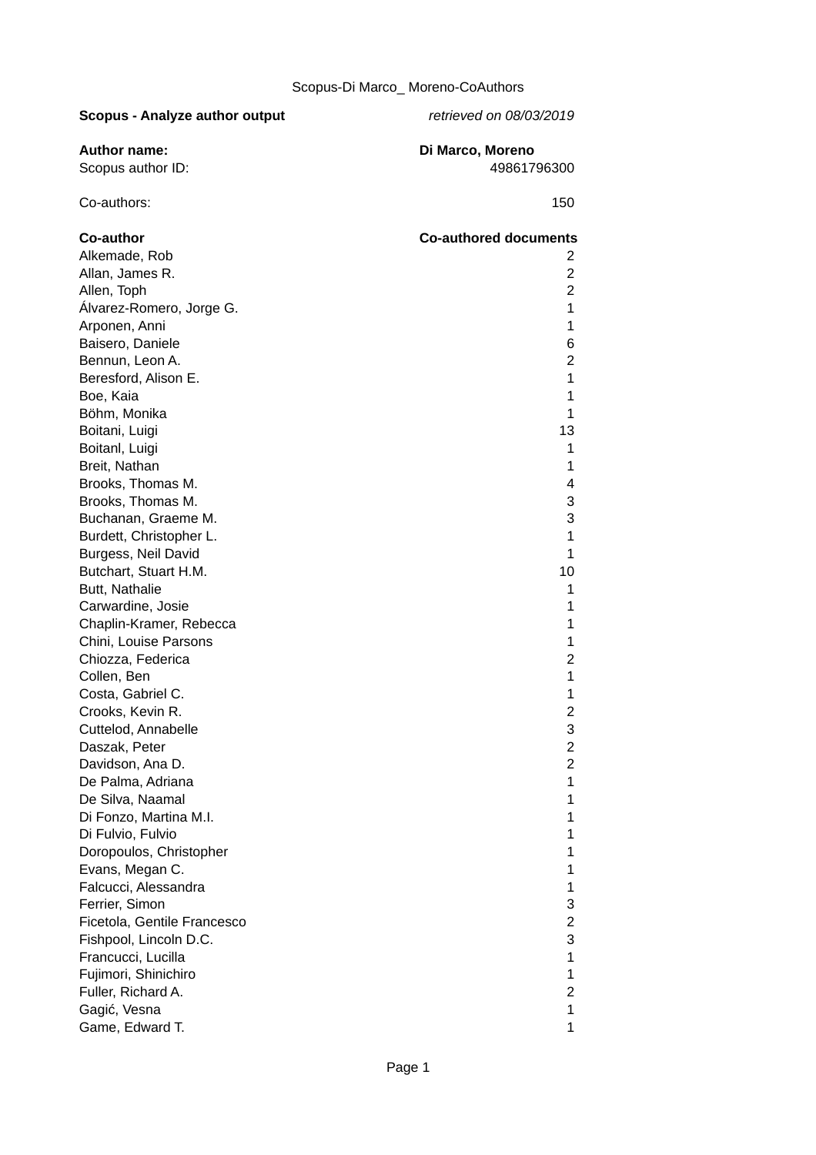| <b>Scopus - Analyze author output</b> | retrieved on 08/03/2019      |
|---------------------------------------|------------------------------|
| <b>Author name:</b>                   | Di Marco, Moreno             |
| Scopus author ID:                     | 49861796300                  |
|                                       |                              |
| Co-authors:                           | 150                          |
| Co-author                             | <b>Co-authored documents</b> |
| Alkemade, Rob                         | 2                            |
| Allan, James R.                       | $\overline{c}$               |
| Allen, Toph                           | $\overline{c}$               |
| Álvarez-Romero, Jorge G.              | 1                            |
| Arponen, Anni                         | 1                            |
| Baisero, Daniele                      | 6                            |
| Bennun, Leon A.                       | $\overline{c}$               |
| Beresford, Alison E.                  | 1                            |
| Boe, Kaia                             | 1                            |
| Böhm, Monika                          | 1                            |
| Boitani, Luigi                        | 13                           |
| Boitanl, Luigi                        | $\mathbf 1$                  |
| Breit, Nathan                         | $\mathbf 1$                  |
| Brooks, Thomas M.                     | 4                            |
| Brooks, Thomas M.                     | 3                            |
| Buchanan, Graeme M.                   | 3                            |
| Burdett, Christopher L.               | 1                            |
| Burgess, Neil David                   | 1                            |
| Butchart, Stuart H.M.                 | 10                           |
| Butt, Nathalie                        | 1                            |
| Carwardine, Josie                     | 1                            |
| Chaplin-Kramer, Rebecca               | 1                            |
| Chini, Louise Parsons                 | 1                            |
| Chiozza, Federica                     | $\overline{c}$               |
| Collen, Ben                           | 1                            |
| Costa, Gabriel C.                     | 1                            |
| Crooks, Kevin R.                      | $\overline{c}$               |
| Cuttelod, Annabelle                   | 3                            |
| Daszak, Peter                         | $\overline{c}$               |
| Davidson, Ana D.                      | $\overline{c}$               |
| De Palma, Adriana                     | 1                            |
| De Silva, Naamal                      | 1                            |
| Di Fonzo, Martina M.I.                | 1                            |
|                                       |                              |
| Di Fulvio, Fulvio                     | 1                            |
| Doropoulos, Christopher               | $\mathbf 1$                  |
| Evans, Megan C.                       | $\mathbf 1$                  |
| Falcucci, Alessandra                  | $\mathbf 1$                  |
| Ferrier, Simon                        | 3                            |
| Ficetola, Gentile Francesco           | $\overline{c}$               |
| Fishpool, Lincoln D.C.                | 3                            |
| Francucci, Lucilla                    | $\mathbf{1}$                 |
| Fujimori, Shinichiro                  | $\mathbf 1$                  |
| Fuller, Richard A.                    | $\overline{c}$               |

Gagić, Vesna 1 Game, Edward T. 2007. The state of the state of the state of the state of the state of the state of the state of the state of the state of the state of the state of the state of the state of the state of the state of the s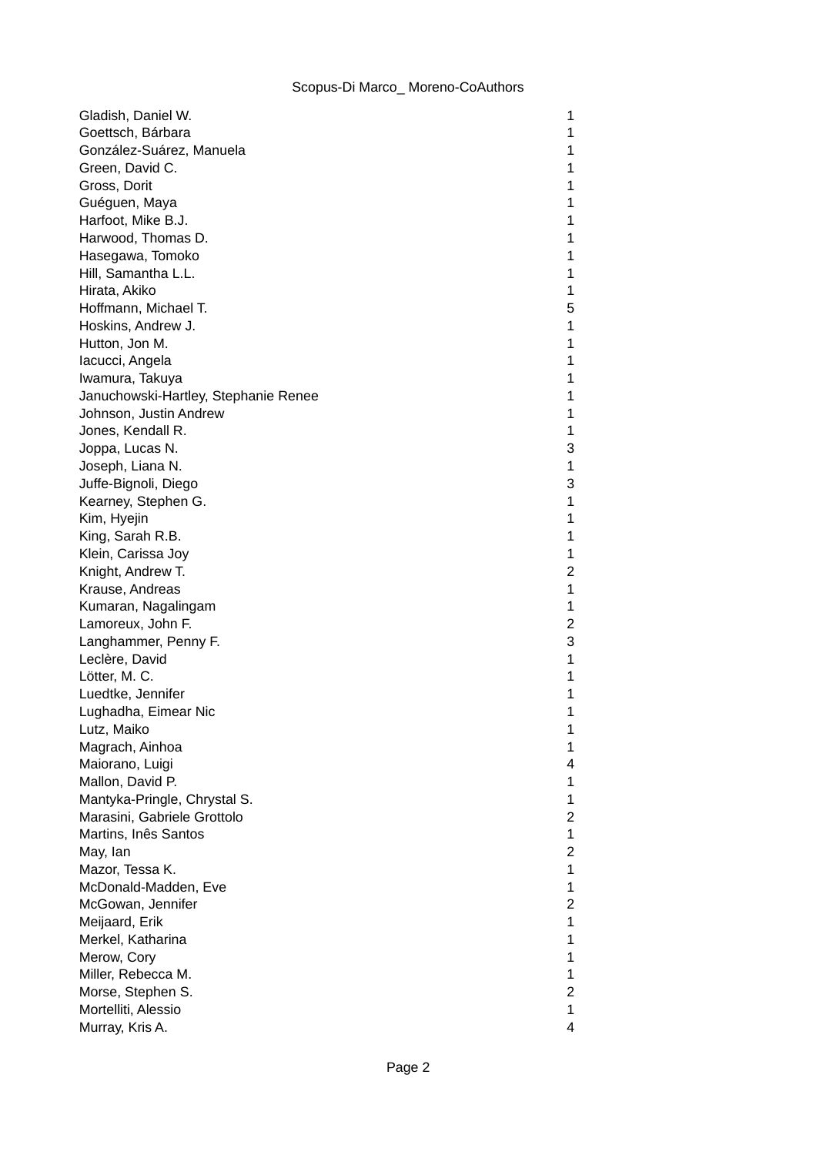| Gladish, Daniel W.                   | 1              |
|--------------------------------------|----------------|
| Goettsch, Bárbara                    | 1              |
| González-Suárez, Manuela             | 1              |
| Green, David C.                      | 1              |
| Gross, Dorit                         | 1              |
| Guéguen, Maya                        | 1              |
| Harfoot, Mike B.J.                   | 1              |
| Harwood, Thomas D.                   | 1              |
| Hasegawa, Tomoko                     | 1              |
| Hill, Samantha L.L.                  | $\mathbf 1$    |
| Hirata, Akiko                        | 1              |
| Hoffmann, Michael T.                 | 5              |
| Hoskins, Andrew J.                   | 1              |
| Hutton, Jon M.                       | 1              |
| lacucci, Angela                      | 1              |
| Iwamura, Takuya                      | $\mathbf 1$    |
| Januchowski-Hartley, Stephanie Renee | 1              |
| Johnson, Justin Andrew               | 1              |
| Jones, Kendall R.                    | 1              |
| Joppa, Lucas N.                      | 3              |
| Joseph, Liana N.                     | 1              |
| Juffe-Bignoli, Diego                 | 3              |
| Kearney, Stephen G.                  | $\mathbf 1$    |
| Kim, Hyejin                          | $\mathbf 1$    |
| King, Sarah R.B.                     | 1              |
| Klein, Carissa Joy                   | 1              |
| Knight, Andrew T.                    | 2              |
| Krause, Andreas                      | 1              |
| Kumaran, Nagalingam                  | 1              |
| Lamoreux, John F.                    | $\overline{c}$ |
| Langhammer, Penny F.                 | 3              |
| Leclère, David                       | 1              |
| Lötter, M. C.                        | $\mathbf 1$    |
| Luedtke, Jennifer                    | 1              |
| Lughadha, Eimear Nic                 | 1              |
| Lutz, Maiko                          | 1              |
| Magrach, Ainhoa                      | 1              |
| Maiorano, Luigi                      | 4              |
| Mallon, David P.                     | 1              |
| Mantyka-Pringle, Chrystal S.         | 1              |
| Marasini, Gabriele Grottolo          | $\overline{c}$ |
| Martins, Inês Santos                 | 1              |
| May, Ian                             | $\overline{c}$ |
| Mazor, Tessa K.                      | 1              |
| McDonald-Madden, Eve                 | 1              |
| McGowan, Jennifer                    | $\overline{c}$ |
| Meijaard, Erik                       | $\mathbf 1$    |
| Merkel, Katharina                    | 1              |
| Merow, Cory                          | 1              |
| Miller, Rebecca M.                   | 1              |
| Morse, Stephen S.                    | 2              |
| Mortelliti, Alessio                  | $\mathbf 1$    |
| Murray, Kris A.                      | 4              |
|                                      |                |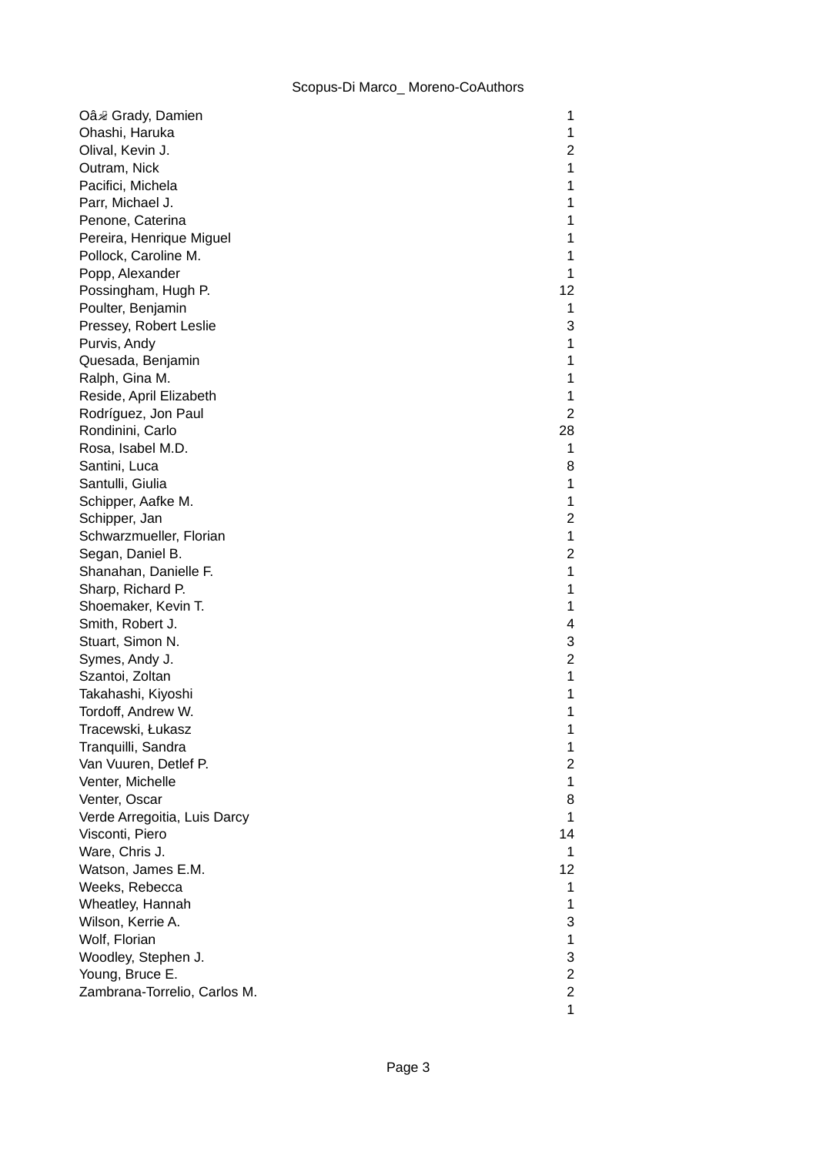| Oân Grady, Damien            | 1              |
|------------------------------|----------------|
| Ohashi, Haruka               | 1              |
| Olival, Kevin J.             | 2              |
| Outram, Nick                 | 1              |
| Pacifici, Michela            | 1              |
| Parr, Michael J.             | $\mathbf 1$    |
| Penone, Caterina             | 1              |
| Pereira, Henrique Miguel     | 1              |
| Pollock, Caroline M.         | 1              |
| Popp, Alexander              | 1              |
| Possingham, Hugh P.          | 12             |
| Poulter, Benjamin            | 1              |
| Pressey, Robert Leslie       | 3              |
| Purvis, Andy                 | $\mathbf 1$    |
| Quesada, Benjamin            | 1              |
| Ralph, Gina M.               | 1              |
| Reside, April Elizabeth      | 1              |
| Rodríguez, Jon Paul          | $\overline{2}$ |
| Rondinini, Carlo             | 28             |
| Rosa, Isabel M.D.            | 1              |
| Santini, Luca                | 8              |
| Santulli, Giulia             | $\mathbf 1$    |
| Schipper, Aafke M.           | 1              |
| Schipper, Jan                | $\overline{c}$ |
| Schwarzmueller, Florian      | $\mathbf{1}$   |
| Segan, Daniel B.             | 2              |
| Shanahan, Danielle F.        | 1              |
| Sharp, Richard P.            | 1              |
| Shoemaker, Kevin T.          | 1              |
| Smith, Robert J.             | 4              |
| Stuart, Simon N.             | 3              |
| Symes, Andy J.               | $\overline{c}$ |
| Szantoi, Zoltan              | $\mathbf{1}$   |
| Takahashi, Kiyoshi           | 1              |
| Tordoff, Andrew W.           | $\mathbf 1$    |
| Tracewski, Łukasz            | 1              |
| Tranquilli, Sandra           | 1              |
| Van Vuuren, Detlef P.        | $\overline{c}$ |
| Venter, Michelle             | 1              |
| Venter, Oscar                | 8              |
| Verde Arregoitia, Luis Darcy | 1              |
| Visconti, Piero              | 14             |
| Ware, Chris J.               | 1              |
| Watson, James E.M.           | 12             |
| Weeks, Rebecca               | 1              |
| Wheatley, Hannah             | 1              |
| Wilson, Kerrie A.            | 3              |
| Wolf, Florian                | 1              |
| Woodley, Stephen J.          | 3              |
| Young, Bruce E.              | $\overline{c}$ |
| Zambrana-Torrelio, Carlos M. | $\overline{c}$ |
|                              | $\mathbf{1}$   |